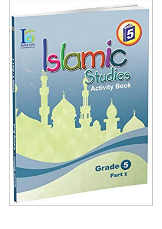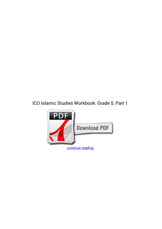## **ICO Islamic Studies Workbook: Grade 5, Part 1**

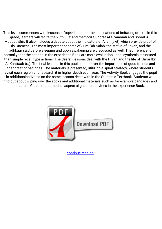This level commences with lessons in 'aqeedah about the implications of imitating others. In this grade, learners will recite the 28th Juz' and memorize Soorat Al-Qiyaamah and Soorat Al-Muddaththir. It also includes a debate about the indicators of Allah (swt) which provide proof of His Oneness. The most important aspects of Jumu'ah Salah, the status of Zakah, and the adhkaar said before sleeping and upon awakening are discussed as well. Thedifference is normally that the actions in the experience Book are more evaluation - and- synthesis structured, than simple recall type actions. The Seerah lessons deal with the Hijrah and the life of 'Umar Ibn Al-Khattaab (ra). The final lessons in this publication cover the importance of good friends and the threat of bad ones. The materials is presented, utilizing a spiral strategy, where students revisit each region and research it in higher depth each year. The Activity Book engages the pupil in additionalactivities on the same lessons dealt with in the Student's Textbook. Students will find out about wiping over the socks and additional materials such as for example bandages and plasters. Gleam morepractical aspect aligned to activities in the experience Book.



[continue reading](http://bit.ly/2Tge8Fv)